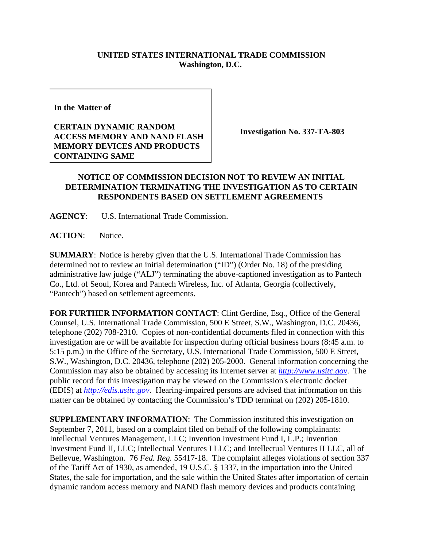## **UNITED STATES INTERNATIONAL TRADE COMMISSION Washington, D.C.**

**In the Matter of** 

## **CERTAIN DYNAMIC RANDOM ACCESS MEMORY AND NAND FLASH MEMORY DEVICES AND PRODUCTS CONTAINING SAME**

**Investigation No. 337-TA-803**

## **NOTICE OF COMMISSION DECISION NOT TO REVIEW AN INITIAL DETERMINATION TERMINATING THE INVESTIGATION AS TO CERTAIN RESPONDENTS BASED ON SETTLEMENT AGREEMENTS**

**AGENCY**: U.S. International Trade Commission.

**ACTION**: Notice.

**SUMMARY**: Notice is hereby given that the U.S. International Trade Commission has determined not to review an initial determination ("ID") (Order No. 18) of the presiding administrative law judge ("ALJ") terminating the above-captioned investigation as to Pantech Co., Ltd. of Seoul, Korea and Pantech Wireless, Inc. of Atlanta, Georgia (collectively, "Pantech") based on settlement agreements.

**FOR FURTHER INFORMATION CONTACT**: Clint Gerdine, Esq., Office of the General Counsel, U.S. International Trade Commission, 500 E Street, S.W., Washington, D.C. 20436, telephone (202) 708-2310. Copies of non-confidential documents filed in connection with this investigation are or will be available for inspection during official business hours (8:45 a.m. to 5:15 p.m.) in the Office of the Secretary, U.S. International Trade Commission, 500 E Street, S.W., Washington, D.C. 20436, telephone (202) 205-2000. General information concerning the Commission may also be obtained by accessing its Internet server at *http://www.usitc.gov*. The public record for this investigation may be viewed on the Commission's electronic docket (EDIS) at *http://edis.usitc.gov*. Hearing-impaired persons are advised that information on this matter can be obtained by contacting the Commission's TDD terminal on (202) 205-1810.

**SUPPLEMENTARY INFORMATION:** The Commission instituted this investigation on September 7, 2011, based on a complaint filed on behalf of the following complainants: Intellectual Ventures Management, LLC; Invention Investment Fund I, L.P.; Invention Investment Fund II, LLC; Intellectual Ventures I LLC; and Intellectual Ventures II LLC, all of Bellevue, Washington. 76 *Fed. Reg.* 55417-18. The complaint alleges violations of section 337 of the Tariff Act of 1930, as amended, 19 U.S.C. § 1337, in the importation into the United States, the sale for importation, and the sale within the United States after importation of certain dynamic random access memory and NAND flash memory devices and products containing